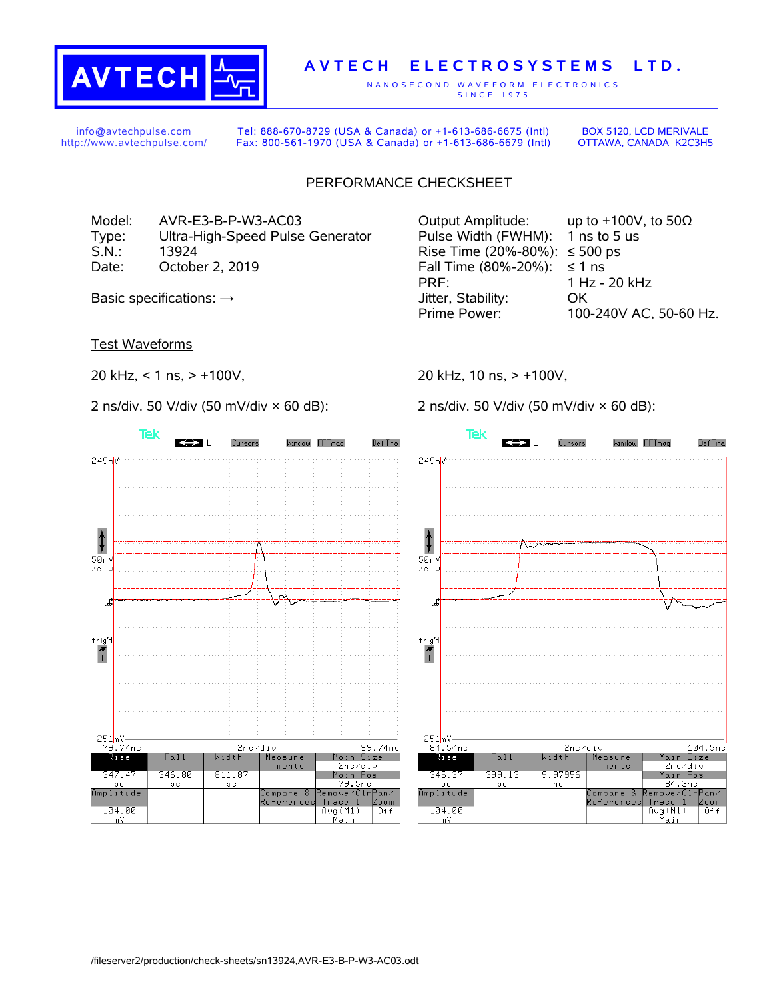

## **A V T E C H E L E C T R O S Y S T E M S L T D .**

N A N O S E C O N D W A V E F O R M E L E C T R O N I C S S IN C E 1975

info@avtechpulse.com http://www.avtechpulse.com/

Tel: 888-670-8729 (USA & Canada) or +1-613-686-6675 (Intl) Fax: 800-561-1970 (USA & Canada) or +1-613-686-6679 (Intl)

BOX 5120, LCD MERIVALE OTTAWA, CANADA K2C3H5

## PERFORMANCE CHECKSHEET

Model: AVR-E3-B-P-W3-AC03 Output Amplitude: up to +100V, to 50Ω Type: Ultra-High-Speed Pulse Generator Pulse Width (FWHM): 1 ns to 5 us S.N.: 13924 13924 Rise Time (20%-80%): ≤ 500 ps Date: October 2, 2019  $\blacksquare$  Fall Time (80%-20%):  $\leq 1$  ns

Test Waveforms

20 kHz, < 1 ns, > +100V,

2 ns/div. 50 V/div (50 mV/div × 60 dB):



PRF: 1 Hz - 20 kHz Basic specifications:  $\rightarrow$  Stability: OK Prime Power: 100-240V AC, 50-60 Hz.

20 kHz, 10 ns, > +100V,

2 ns/div. 50 V/div (50 mV/div × 60 dB):

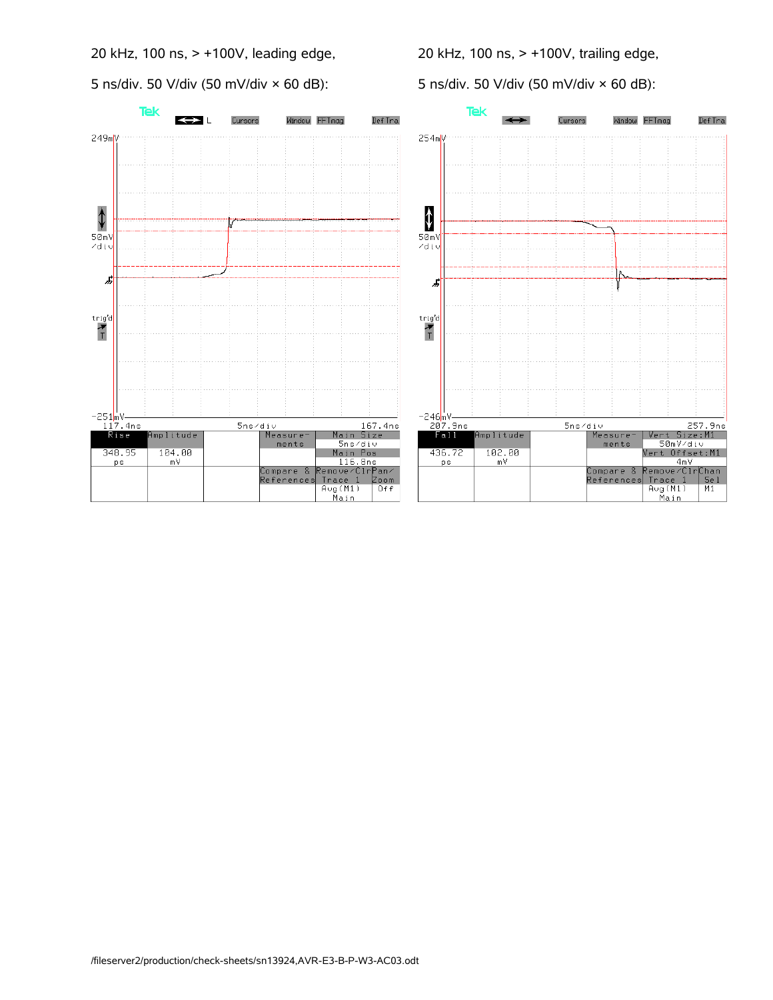20 kHz, 100 ns, > +100V, leading edge,

5 ns/div. 50 V/div (50 mV/div × 60 dB):

20 kHz, 100 ns, > +100V, trailing edge,

5 ns/div. 50 V/div (50 mV/div × 60 dB):

Window FFTmag

Def Tra

Part Size: M1<br>Pert Size: M1<br>S0mV/div<br>Vert Offset: M1